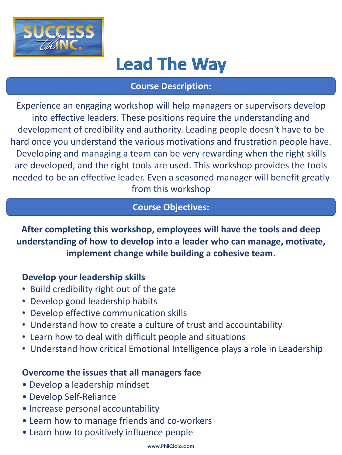

## **Lead The Way**

Experience an engaging workshop will help managers or supervisors develop into effective leaders. These positions require the understanding and development of credibility and authority. Leading people doesn't have to be hard once you understand the various motivations and frustration people have. Developing and managing a team can be very rewarding when the right skills are developed, and the right tools are used. This workshop provides the tools needed to be an effective leader. Even a seasoned manager will benefit greatly from this workshop

**After completing this workshop, employees will have the tools and deep understanding of how to develop into a leader who can manage, motivate, implement change while building a cohesive team.**

## **Develop your leadership skills**

- Build credibility right out of the gate
- Develop good leadership habits
- Develop effective communication skills
- Understand how to create a culture of trust and accountability
- Learn how to deal with difficult people and situations
- Understand how critical Emotional Intelligence plays a role in Leadership

## **Overcome the issues that all managers face**

- Develop a leadership mindset
- Develop Self-Reliance
- Increase personal accountability
- Learn how to manage friends and co-workers
- Learn how to positively influence people

#### **Course Objectives:**

#### **Course Description:**